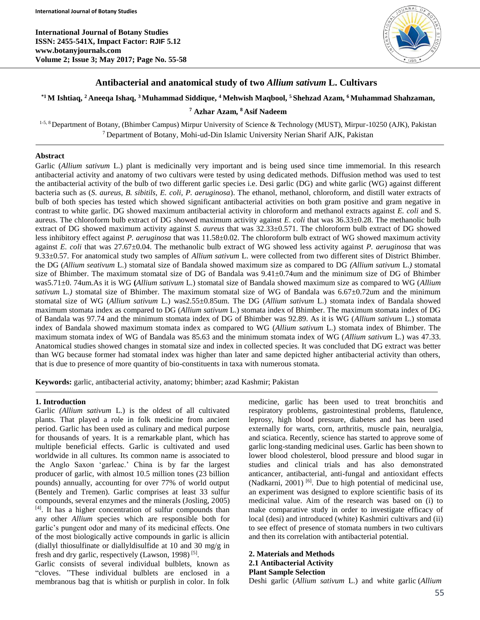**International Journal of Botany Studies ISSN: 2455-541X, Impact Factor: RJIF 5.12 www.botanyjournals.com Volume 2; Issue 3; May 2017; Page No. 55-58**



# **Antibacterial and anatomical study of two** *Allium sativum* **L. Cultivars**

# **\*1 M Ishtiaq, <sup>2</sup>Aneeqa Ishaq, <sup>3</sup>Muhammad Siddique, <sup>4</sup> Mehwish Maqbool, <sup>5</sup> Shehzad Azam, <sup>6</sup>Muhammad Shahzaman,**

## **<sup>7</sup> Azhar Azam, <sup>8</sup> Asif Nadeem**

<sup>1-5, 8</sup> Department of Botany, (Bhimber Campus) Mirpur University of Science & Technology (MUST), Mirpur-10250 (AJK), Pakistan <sup>7</sup> Department of Botany, Mohi-ud-Din Islamic University Nerian Sharif AJK, Pakistan

# **Abstract**

Garlic (*Allium sativum* L.) plant is medicinally very important and is being used since time immemorial. In this research antibacterial activity and anatomy of two cultivars were tested by using dedicated methods. Diffusion method was used to test the antibacterial activity of the bulb of two different garlic species i.e. Desi garlic (DG) and white garlic (WG) against different bacteria such as (*S. aureus, B. sibitils, E. coli, P. aeruginosa*). The ethanol, methanol, chloroform, and distill water extracts of bulb of both species has tested which showed significant antibacterial activities on both gram positive and gram negative in contrast to white garlic. DG showed maximum antibacterial activity in chloroform and methanol extracts against *E. coli* and S. aureus. The chloroform bulb extract of DG showed maximum activity against *E. coli* that was 36.33±0.28. The methanolic bulb extract of DG showed maximum activity against *S. aureus* that was 32.33±0.571. The chloroform bulb extract of DG showed less inhibitory effect against *P. aeruginosa* that was 11.58±0.02. The chloroform bulb extract of WG showed maximum activity against *E. coli* that was 27.67±0.04. The methanolic bulb extract of WG showed less activity against *P. aeruginosa* that was 9.33±0.57. For anatomical study two samples of *Allium sativum* L. were collected from two different sites of District Bhimber. the DG (*Allium seativum* L.) stomatal size of Bandala showed maximum size as compared to DG *(Allium sativum* L.*)* stomatal size of Bhimber. The maximum stomatal size of DG of Bandala was 9.41±0.74um and the minimum size of DG of Bhimber was5.71±0. 74um.As it is WG **(***Allium sativum* L.) stomatal size of Bandala showed maximum size as compared to WG (*Allium sativum* L.) stomatal size of Bhimber. The maximum stomatal size of WG of Bandala was  $6.67\pm0.72$ um and the minimum stomatal size of WG (*Allium sativum* L.) was2.55±0.85um. The DG (*Allium sativum* L.) stomata index of Bandala showed maximum stomata index as compared to DG (*Allium sativum* L.) stomata index of Bhimber. The maximum stomata index of DG of Bandala was 97.74 and the minimum stomata index of DG of Bhimber was 92.89. As it is WG (*Allium sativum* L.) stomata index of Bandala showed maximum stomata index as compared to WG (*Allium sativum* L.) stomata index of Bhimber. The maximum stomata index of WG of Bandala was 85.63 and the minimum stomata index of WG (*Allium sativum* L.) was 47.33. Anatomical studies showed changes in stomatal size and index in collected species. It was concluded that DG extract was better than WG because former had stomatal index was higher than later and same depicted higher antibacterial activity than others, that is due to presence of more quantity of bio-constituents in taxa with numerous stomata.

**Keywords:** garlic, antibacterial activity, anatomy; bhimber; azad Kashmir; Pakistan

## **1. Introduction**

Garlic *(Allium sativum* L.) is the oldest of all cultivated plants. That played a role in folk medicine from ancient period. Garlic has been used as culinary and medical purpose for thousands of years. It is a remarkable plant, which has multiple beneficial effects. Garlic is cultivated and used worldwide in all cultures. Its common name is associated to the Anglo Saxon 'garleac.' China is by far the largest producer of garlic, with almost 10.5 million tones (23 billion pounds) annually, accounting for over 77% of world output (Bentely and Tremen). Garlic comprises at least 33 sulfur compounds, several enzymes and the minerals (Josling, 2005) [4]. It has a higher concentration of sulfur compounds than any other *Allium* species which are responsible both for garlic's pungent odor and many of its medicinal effects. One of the most biologically active compounds in garlic is allicin (diallyl thiosulfinate or diallyldisulfide at 10 and 30 mg/g in fresh and dry garlic, respectively (Lawson, 1998)<sup>[5]</sup>.

Garlic consists of several individual bulblets, known as "cloves. "These individual bulblets are enclosed in a membranous bag that is whitish or purplish in color. In folk medicine, garlic has been used to treat bronchitis and respiratory problems, gastrointestinal problems, flatulence, leprosy, high blood pressure, diabetes and has been used externally for warts, corn, arthritis, muscle pain, neuralgia, and sciatica. Recently, science has started to approve some of garlic long-standing medicinal uses. Garlic has been shown to lower blood cholesterol, blood pressure and blood sugar in studies and clinical trials and has also demonstrated anticancer, antibacterial, anti-fungal and antioxidant effects (Nadkarni, 2001)<sup>[6]</sup>. Due to high potential of medicinal use, an experiment was designed to explore scientific basis of its medicinal value. Aim of the research was based on (i) to make comparative study in order to investigate efficacy of local (desi) and introduced (white) Kashmiri cultivars and (ii) to see effect of presence of stomata numbers in two cultivars and then its correlation with antibacterial potential.

# **2. Materials and Methods**

#### **2.1 Antibacterial Activity Plant Sample Selection**

Deshi garlic (*Allium sativum* L.) and white garlic (*Allium*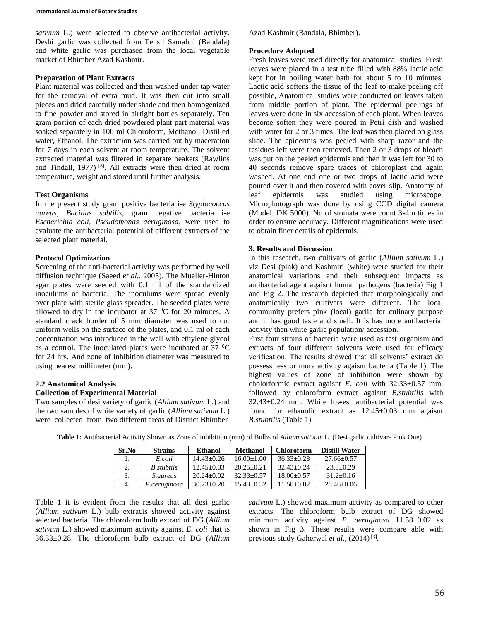*sativum* L.) were selected to observe antibacterial activity. Deshi garlic was collected from Tehsil Samahni (Bandala) and white garlic was purchased from the local vegetable market of Bhimber Azad Kashmir.

#### **Preparation of Plant Extracts**

Plant material was collected and then washed under tap water for the removal of extra mud. It was then cut into small pieces and dried carefully under shade and then homogenized to fine powder and stored in airtight bottles separately. Ten gram portion of each dried powdered plant part material was soaked separately in 100 ml Chloroform, Methanol, Distilled water, Ethanol. The extraction was carried out by maceration for 7 days in each solvent at room temperature. The solvent extracted material was filtered in separate beakers (Rawlins and Tindall, 1977)<sup>[8]</sup>. All extracts were then dried at room temperature, weight and stored until further analysis.

### **Test Organisms**

In the present study gram positive bacteria i-e *Styplococcus aureus, Bacillus subtilis,* gram negative bacteria i-e *Escherichia coli, Pseudomonas aeruginosa*, were used to evaluate the antibacterial potential of different extracts of the selected plant material.

## **Protocol Optimization**

Screening of the anti-bacterial activity was performed by well diffusion technique (Saeed *et al.,* 2005). The Mueller-Hinton agar plates were seeded with 0.1 ml of the standardized inoculums of bacteria. The inoculums were spread evenly over plate with sterile glass spreader. The seeded plates were allowed to dry in the incubator at  $37\text{ °C}$  for 20 minutes. A standard crack border of 5 mm diameter was used to cut uniform wells on the surface of the plates, and 0.1 ml of each concentration was introduced in the well with ethylene glycol as a control. The inoculated plates were incubated at  $37 \text{ }^0\text{C}$ for 24 hrs. And zone of inhibition diameter was measured to using nearest millimeter (mm).

## **2.2 Anatomical Analysis**

## **Collection of Experimental Material**

Two samples of desi variety of garlic (*Allium sativum* L.) and the two samples of white variety of garlic (*Allium sativum* L.) were collected from two different areas of District Bhimber

Azad Kashmir (Bandala, Bhimber).

#### **Procedure Adopted**

Fresh leaves were used directly for anatomical studies. Fresh leaves were placed in a test tube filled with 88% lactic acid kept hot in boiling water bath for about 5 to 10 minutes. Lactic acid softens the tissue of the leaf to make peeling off possible, Anatomical studies were conducted on leaves taken from middle portion of plant. The epidermal peelings of leaves were done in six accession of each plant. When leaves become soften they were poured in Petri dish and washed with water for 2 or 3 times. The leaf was then placed on glass slide. The epidermis was peeled with sharp razor and the residues left were then removed. Then 2 or 3 drops of bleach was put on the peeled epidermis and then it was left for 30 to 40 seconds remove spare traces of chloroplast and again washed. At one end one or two drops of lactic acid were poured over it and then covered with cover slip. Anatomy of leaf epidermis was studied using microscope. leaf epidermis was studied using microscope. Microphotograph was done by using CCD digital camera (Model: DK 5000). No of stomata were count 3-4m times in order to ensure accuracy. Different magnifications were used to obtain finer details of epidermis.

#### **3. Results and Discussion**

In this research, two cultivars of garlic (*Allium sativum* L.) viz Desi (pink) and Kashmiri (white) were studied for their anatomical variations and their subsequent impacts as antibacterial agent agaisnt human pathogens (bacteria) Fig 1 and Fig 2. The research depicted that morphologically and anatomically two cultivars were different. The local community prefers pink (local) garlic for culinary purpose and it has good taste and smell. It is has more antibacterial activity then white garlic population/ accession.

First four strains of bacteria were used as test organism and extracts of four different solvents were used for efficacy verification. The results showed that all solvents' extract do possess less or more activity agaisnt bacteria (Table 1). The highest values of zone of inhibition were shown by cholorformic extract agaisnt *E. coli* with 32.33±0.57 mm, followed by chloroform extract agaisnt *B.stubtilis* with 32.43±0.24 mm. While lowest antibacterial potential was found for ethanolic extract as 12.45±0.03 mm agaisnt *B.stubtilis* (Table 1)*.*

| Sr.No | <b>Strains</b>  | <b>Ethanol</b> | <b>Methanol</b> | <b>Chloroform</b> | <b>Distill Water</b> |
|-------|-----------------|----------------|-----------------|-------------------|----------------------|
|       | E.coli          | $14.43+0.26$   | $16.00+1.00$    | $36.33+0.28$      | $27.66 \pm 0.57$     |
|       | B. stubtils     | $12.45+0.03$   | $20.25+0.21$    | $32.43+0.24$      | $23.3+0.29$          |
| 3.    | <i>S.aureus</i> | $20.24 + 0.02$ | $32.33+0.57$    | $18.00+0.57$      | $31.2 + 0.16$        |
| 4.    | P.aeruginosa    | $30.23 + 0.20$ | $15.43+0.32$    | $11.58 + 0.02$    | $28.46 \pm 0.06$     |

**Table 1:** Antibacterial Activity Shown as Zone of inhibition (mm) of Bulbs of *Allium sativum* L. (Desi garlic cultivar- Pink One)

Table 1 it is evident from the results that all desi garlic (*Allium sativum* L.) bulb extracts showed activity against selected bacteria. The chloroform bulb extract of DG (*Allium sativum* L.) showed maximum activity against *E. coli* that is 36.33±0.28. The chloroform bulb extract of DG (*Allium* 

*sativum* L.) showed maximum activity as compared to other extracts. The chloroform bulb extract of DG showed minimum activity against *P. aeruginosa* 11.58±0.02 as shown in Fig 3. These results were compare able with previous study Gaherwal *et al*., (2014) [3] .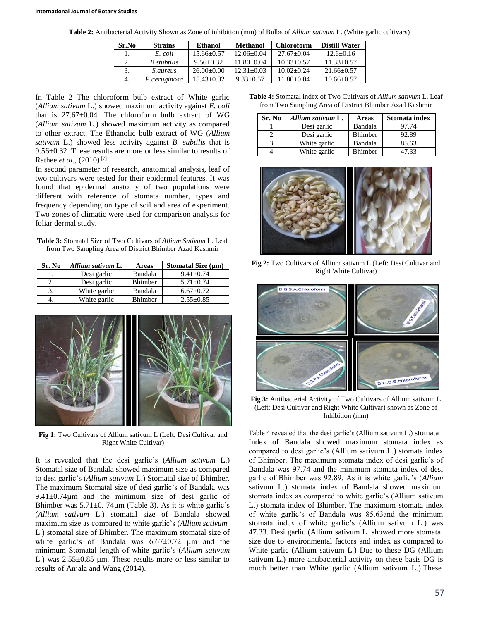**Table 2:** Antibacterial Activity Shown as Zone of inhibition (mm) of Bulbs of *Allium sativum* L. (White garlic cultivars)

| Sr.No | <b>Strains</b>     | Ethanol        | Methanol       | <b>Chloroform</b> | <b>Distill Water</b> |
|-------|--------------------|----------------|----------------|-------------------|----------------------|
|       | E. coli            | $15.66 + 0.57$ | $12.06 + 0.04$ | $27.67+0.04$      | $12.6 + 0.16$        |
|       | <i>B.stubtilis</i> | $9.56 + 0.32$  | $11.80 + 0.04$ | $10.33 + 0.57$    | $11.33 + 0.57$       |
|       | <i>S.aureus</i>    | $26.00+0.00$   | $12.31 + 0.03$ | $10.02 + 0.24$    | $21.66 \pm 0.57$     |
| 4.    | P.aeruginosa       | $15.43 + 0.32$ | $9.33+0.57$    | $11.80 + 0.04$    | $10.66 \pm 0.57$     |

In Table 2 The chloroform bulb extract of White garlic (*Allium sativum* L.) showed maximum activity against *E. coli* that is 27.67±0.04. The chloroform bulb extract of WG (*Allium sativum* L.) showed maximum activity as compared to other extract. The Ethanolic bulb extract of WG (*Allium sativum* L.) showed less activity against *B. subtilis* that is 9.56±0.32. These results are more or less similar to results of Rathee *et al.*, (2010)<sup>[7]</sup>.

In second parameter of research, anatomical analysis, leaf of two cultivars were tested for their epidermal features. It was found that epidermal anatomy of two populations were different with reference of stomata number, types and frequency depending on type of soil and area of experiment. Two zones of climatic were used for comparison analysis for foliar dermal study.

**Table 3:** Stomatal Size of Two Cultivars of *Allium Sativum* L. Leaf from Two Sampling Area of District Bhimber Azad Kashmir

| Sr. No | Allium sativum L. | Areas   | Stomatal Size $(\mu m)$ |
|--------|-------------------|---------|-------------------------|
| ı.     | Desi garlic       | Bandala | $9.41 + 0.74$           |
| z.     | Desi garlic       | Bhimber | $5.71 + 0.74$           |
|        | White garlic      | Bandala | $6.67+0.72$             |
|        | White garlic      | Bhimber | $2.55 \pm 0.85$         |



**Fig 1:** Two Cultivars of Allium sativum L (Left: Desi Cultivar and Right White Cultivar)

It is revealed that the desi garlic's (*Allium sativum* L.) Stomatal size of Bandala showed maximum size as compared to desi garlic's (*Allium sativum* L.) Stomatal size of Bhimber. The maximum Stomatal size of desi garlic's of Bandala was  $9.41 \pm 0.74 \mu m$  and the minimum size of desi garlic of Bhimber was  $5.71\pm0.74\mu$ m (Table 3). As it is white garlic's (*Allium sativum* L.) stomatal size of Bandala showed maximum size as compared to white garlic's (*Allium sativum*  L.) stomatal size of Bhimber. The maximum stomatal size of white garlic's of Bandala was  $6.67 \pm 0.72$  µm and the minimum Stomatal length of white garlic's (*Allium sativum*  L.) was  $2.55\pm0.85$  µm. These results more or less similar to results of Anjala and Wang (2014).

**Table 4:** Stomatal index of Two Cultivars of *Allium sativum* L. Leaf from Two Sampling Area of District Bhimber Azad Kashmir

| Sr. No | Allium sativum L. | <b>Areas</b>   | Stomata index |
|--------|-------------------|----------------|---------------|
|        | Desi garlic       | Bandala        | 97.74         |
|        | Desi garlic       | Bhimber        | 92.89         |
|        | White garlic      | Bandala        | 85.63         |
|        | White garlic      | <b>Bhimber</b> | 47.33         |



**Fig 2:** Two Cultivars of Allium sativum L (Left: Desi Cultivar and Right White Cultivar)



**Fig 3:** Antibacterial Activity of Two Cultivars of Allium sativum L (Left: Desi Cultivar and Right White Cultivar) shown as Zone of Inhibition (mm)

Table 4 revealed that the desi garlic's (Allium sativum L.) stomata Index of Bandala showed maximum stomata index as compared to desi garlic's (Allium sativum L.) stomata index of Bhimber. The maximum stomata index of desi garlic's of Bandala was 97.74 and the minimum stomata index of desi garlic of Bhimber was 92.89. As it is white garlic's (*Allium*  sativum L.) stomata index of Bandala showed maximum stomata index as compared to white garlic's (Allium sativum L.) stomata index of Bhimber. The maximum stomata index of white garlic's of Bandala was 85.63and the minimum stomata index of white garlic's (Allium sativum L.) was 47.33. Desi garlic (Allium sativum L. showed more stomatal size due to environmental factors and index as compared to White garlic (Allium sativum L.) Due to these DG (Allium sativum L.) more antibacterial activity on these basis DG is much better than White garlic (Allium sativum L.) These